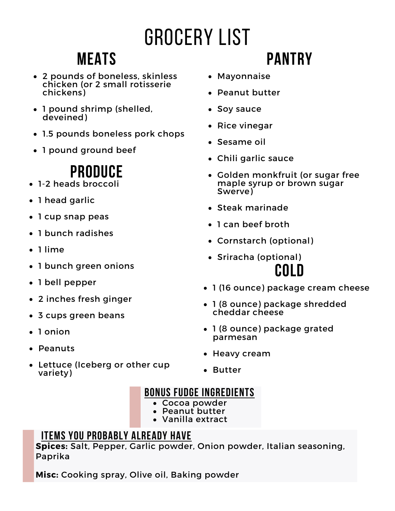# Grocery List

## **Meats**

- 2 pounds of boneless, skinless chicken (or 2 small rotisserie chickens)
- 1 pound shrimp (shelled, deveined)
- 1.5 pounds boneless pork chops
- 1 pound ground beef

## **Produce**

- 1-2 heads broccoli
- 1 head garlic
- 1 cup snap peas
- 1 bunch radishes
- 1 lime
- 1 bunch green onions
- 1 bell pepper
- 2 inches fresh ginger
- 3 cups green beans
- 1 onion
- Peanuts
- Lettuce (Iceberg or other cup variety)
- Mayonnaise
- Peanut butter
- Soy sauce
- Rice vinegar
- Sesame oil
- Chili garlic sauce
- Golden monkfruit (or sugar free maple syrup or brown sugar Swerve)
- Steak marinade
- 1 can beef broth
- Cornstarch (optional)
- Sriracha (optional) **Cold**
- 1 (16 ounce) package cream cheese
- 1 (8 ounce) package shredded cheddar cheese
- 1 (8 ounce) package grated parmesan
- Heavy cream
- Butter

### **Bonus fudge ingredients**

- Cocoa powder
- Peanut butter
- Vanilla extract

### **Items you probably already have**

**Spices:** Salt, Pepper, Garlic powder, Onion powder, Italian seasoning, Paprika

**Misc:** Cooking spray, Olive oil, Baking powder

# **Pantry**